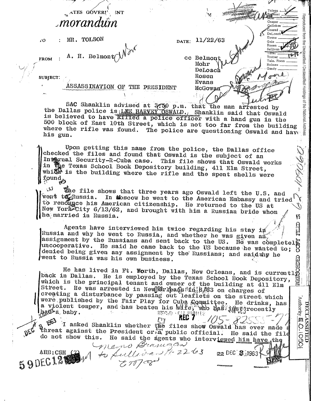## $ATES GOVERI^{\prime}$  $N$ morandum

A. H. Belmont $\bigwedge^{\text{N}^d}$ 

MR. TOLSON  $\angle$ 

**FROM** 

SUBJECT:

## ASSASSINATION OF THE PRESIDENT

SAC Shanklin advised at 3.50 p.m. that the man arrested by the Dallas police is <u>LEE HARVEY OSWALD.</u>, Shanklin said that Oswald is believed to have killed a police officer with a hand gun in the 500 block of East 10th Street, which is not too far from the building bod block of East 10th Street, which is not too far from the building  $\frac{1}{6}$ <br>where the rifle was found. The police are questioning Oswald and have his gun.

Upon getting this name from the police, the Dallas office checked the files and found that Oswald is the subject of an Internal Security-R-Cuba case. This file shows that Oswald works in the Texas School Book Depository building, 411 Elm Street, which is the building where the rifle and the spent shells were found,

 $\mathcal{L}_{\mathcal{A},\mathcal{A}}$ the file shows that three years ago Oswald left the U.S. and went to Russia. In Moscow he went to the American Embassy and tried to renounce his American citizenship. He returned to the US at New York City 6/13/62, and brought with him a Russian bride whom he married in Russia. 翳

Fried Agents have interviewed him twice regarding his stay in Russia and why he went to Russia, and whether he was given an. assignment by the Russians and sent back to the US. He was completely uncooperative. He said he came back to the US because he wanted to; B denied being given any assignment by the Russians; and saidwhy he went to Russia was his own business.

He has lived in Ft. Worth, Dallas, New Orleans, and is currently<br>in Dallas. He is employed by the Texas School Book Depository, and<br>is the principal tenant and owner of the building at 411 Elm back in Dallas. He is employed by the Texas School Book Depository, which is the principal tenant and owner of the building at 411 Elm Street. He was arrested in New Murreads tin 8.763 on charges of creating a disturbance by passing out leaflets on the street which were published by the rair Play for Cuba Committee. He drinks, has<br>a violent temper, and has beaten his wife, who that twist the streetly<br>had a baby.

 $1963$ a <sup>1962</sup> I asked Shanklin whether the files show Oswald has ever made a<br>threat against the President or a public official. He said the file do not show this. He said the agents who interviewed him have the

SODECIS MONTE Leclient Prancas

Casper Callahan Conrad  $\mathfrak{t}^{\mathfrak{C}}$  $De Load$ Evans. DATE: 11/22/63  $Gale$ . Rosen Sullivan "l"äväl" cc Belmont Trotter Tele, Room Mohr Holmes Gandy DeLoach  $A^{-\mu\nu}$ Rosen Evans McGowan

 $22$  DEC  $3.1963$ 

Reproduced from the Undassified / Declassified Holdings of the National

J. Berger

Î.

DECLASSIFIED<br>Authority **E** O. 1050